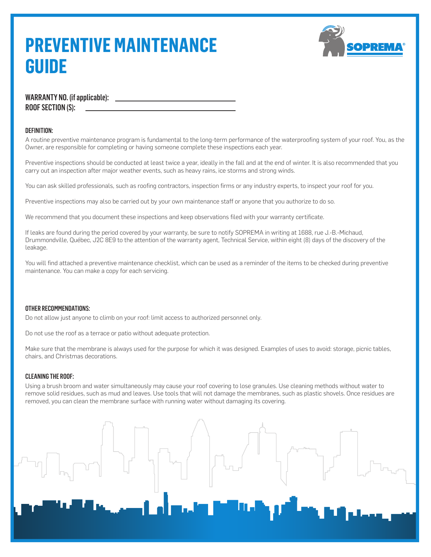## **PREVENTIVE MAINTENANCE GUIDE**



WARRANTY NO. (if applicable): ROOF SECTION (S):

## DEFINITION:

A routine preventive maintenance program is fundamental to the long-term performance of the waterproofing system of your roof. You, as the Owner, are responsible for completing or having someone complete these inspections each year.

Preventive inspections should be conducted at least twice a year, ideally in the fall and at the end of winter. It is also recommended that you carry out an inspection after major weather events, such as heavy rains, ice storms and strong winds.

You can ask skilled professionals, such as roofing contractors, inspection firms or any industry experts, to inspect your roof for you.

Preventive inspections may also be carried out by your own maintenance staff or anyone that you authorize to do so.

We recommend that you document these inspections and keep observations filed with your warranty certificate.

If leaks are found during the period covered by your warranty, be sure to notify SOPREMA in writing at 1688, rue J.-B.-Michaud, Drummondville, Québec, J2C 8E9 to the attention of the warranty agent, Technical Service, within eight (8) days of the discovery of the leakage.

You will find attached a preventive maintenance checklist, which can be used as a reminder of the items to be checked during preventive maintenance. You can make a copy for each servicing.

## OTHER RECOMMENDATIONS:

Do not allow just anyone to climb on your roof: limit access to authorized personnel only.

Do not use the roof as a terrace or patio without adequate protection.

Make sure that the membrane is always used for the purpose for which it was designed. Examples of uses to avoid: storage, picnic tables, chairs, and Christmas decorations.

## CLEANING THE ROOF:

Using a brush broom and water simultaneously may cause your roof covering to lose granules. Use cleaning methods without water to remove solid residues, such as mud and leaves. Use tools that will not damage the membranes, such as plastic shovels. Once residues are removed, you can clean the membrane surface with running water without damaging its covering.